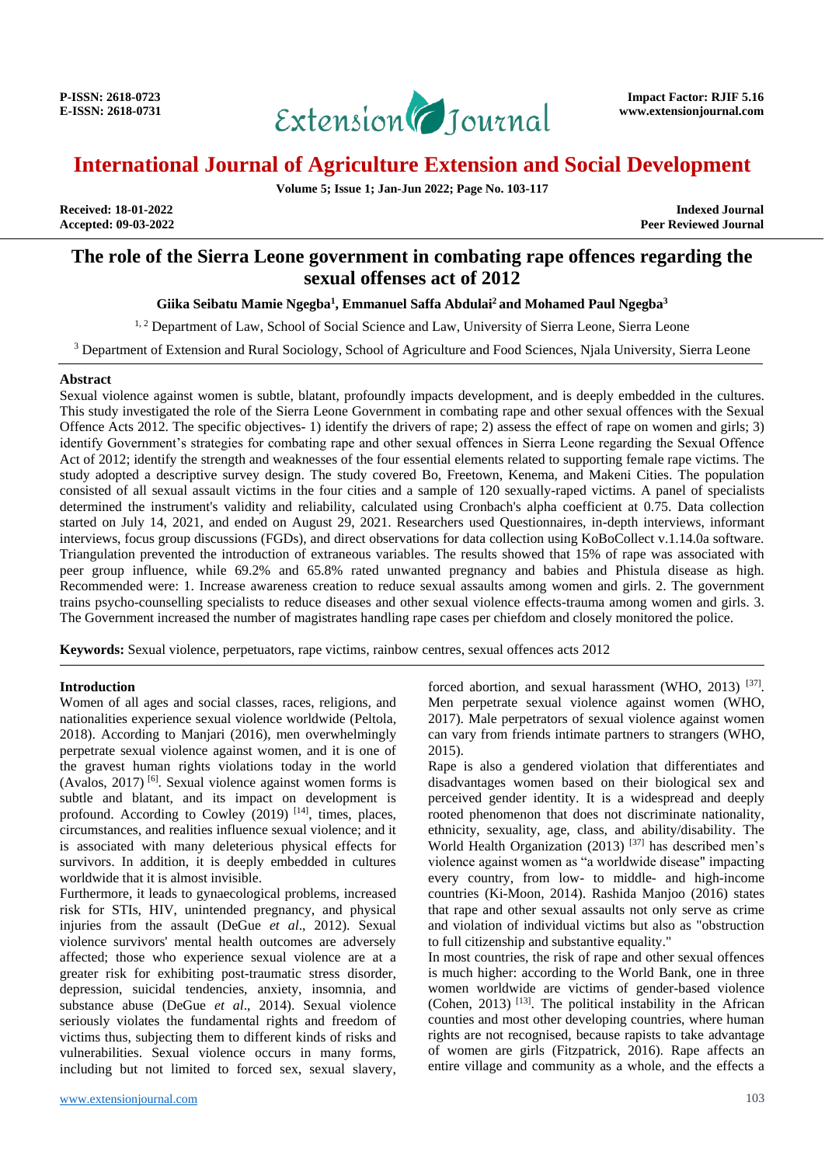

**Volume 5; Issue 1; Jan-Jun 2022; Page No. 103-117**

**Received: 18-01-2022 Indexed Journal** Peer Reviewed Journal

# **The role of the Sierra Leone government in combating rape offences regarding the sexual offenses act of 2012**

### **Giika Seibatu Mamie Ngegba<sup>1</sup> , Emmanuel Saffa Abdulai<sup>2</sup> and Mohamed Paul Ngegba<sup>3</sup>**

<sup>1, 2</sup> Department of Law, School of Social Science and Law, University of Sierra Leone, Sierra Leone

<sup>3</sup> Department of Extension and Rural Sociology, School of Agriculture and Food Sciences, Njala University, Sierra Leone

#### **Abstract**

Sexual violence against women is subtle, blatant, profoundly impacts development, and is deeply embedded in the cultures. This study investigated the role of the Sierra Leone Government in combating rape and other sexual offences with the Sexual Offence Acts 2012. The specific objectives- 1) identify the drivers of rape; 2) assess the effect of rape on women and girls; 3) identify Government's strategies for combating rape and other sexual offences in Sierra Leone regarding the Sexual Offence Act of 2012; identify the strength and weaknesses of the four essential elements related to supporting female rape victims. The study adopted a descriptive survey design. The study covered Bo, Freetown, Kenema, and Makeni Cities. The population consisted of all sexual assault victims in the four cities and a sample of 120 sexually-raped victims. A panel of specialists determined the instrument's validity and reliability, calculated using Cronbach's alpha coefficient at 0.75. Data collection started on July 14, 2021, and ended on August 29, 2021. Researchers used Questionnaires, in-depth interviews, informant interviews, focus group discussions (FGDs), and direct observations for data collection using KoBoCollect v.1.14.0a software. Triangulation prevented the introduction of extraneous variables. The results showed that 15% of rape was associated with peer group influence, while 69.2% and 65.8% rated unwanted pregnancy and babies and Phistula disease as high. Recommended were: 1. Increase awareness creation to reduce sexual assaults among women and girls. 2. The government trains psycho-counselling specialists to reduce diseases and other sexual violence effects-trauma among women and girls. 3. The Government increased the number of magistrates handling rape cases per chiefdom and closely monitored the police.

**Keywords:** Sexual violence, perpetuators, rape victims, rainbow centres, sexual offences acts 2012

#### **Introduction**

Women of all ages and social classes, races, religions, and nationalities experience sexual violence worldwide (Peltola, 2018). According to Manjari (2016), men overwhelmingly perpetrate sexual violence against women, and it is one of the gravest human rights violations today in the world (Avalos,  $2017$ )<sup>[6]</sup>. Sexual violence against women forms is subtle and blatant, and its impact on development is profound. According to Cowley  $(2019)$  <sup>[14]</sup>, times, places, circumstances, and realities influence sexual violence; and it is associated with many deleterious physical effects for survivors. In addition, it is deeply embedded in cultures worldwide that it is almost invisible.

Furthermore, it leads to gynaecological problems, increased risk for STIs, HIV, unintended pregnancy, and physical injuries from the assault (DeGue *et al*., 2012). Sexual violence survivors' mental health outcomes are adversely affected; those who experience sexual violence are at a greater risk for exhibiting post-traumatic stress disorder, depression, suicidal tendencies, anxiety, insomnia, and substance abuse (DeGue *et al*., 2014). Sexual violence seriously violates the fundamental rights and freedom of victims thus, subjecting them to different kinds of risks and vulnerabilities. Sexual violence occurs in many forms, including but not limited to forced sex, sexual slavery,

forced abortion, and sexual harassment (WHO, 2013)<sup>[37]</sup>. Men perpetrate sexual violence against women (WHO, 2017). Male perpetrators of sexual violence against women can vary from friends intimate partners to strangers (WHO, 2015).

Rape is also a gendered violation that differentiates and disadvantages women based on their biological sex and perceived gender identity. It is a widespread and deeply rooted phenomenon that does not discriminate nationality, ethnicity, sexuality, age, class, and ability/disability. The World Health Organization  $(2013)$ <sup>[37]</sup> has described men's violence against women as "a worldwide disease" impacting every country, from low- to middle- and high-income countries (Ki-Moon, 2014). Rashida Manjoo (2016) states that rape and other sexual assaults not only serve as crime and violation of individual victims but also as "obstruction to full citizenship and substantive equality."

In most countries, the risk of rape and other sexual offences is much higher: according to the World Bank, one in three women worldwide are victims of gender-based violence (Cohen, 2013) [13] . The political instability in the African counties and most other developing countries, where human rights are not recognised, because rapists to take advantage of women are girls (Fitzpatrick, 2016). Rape affects an entire village and community as a whole, and the effects a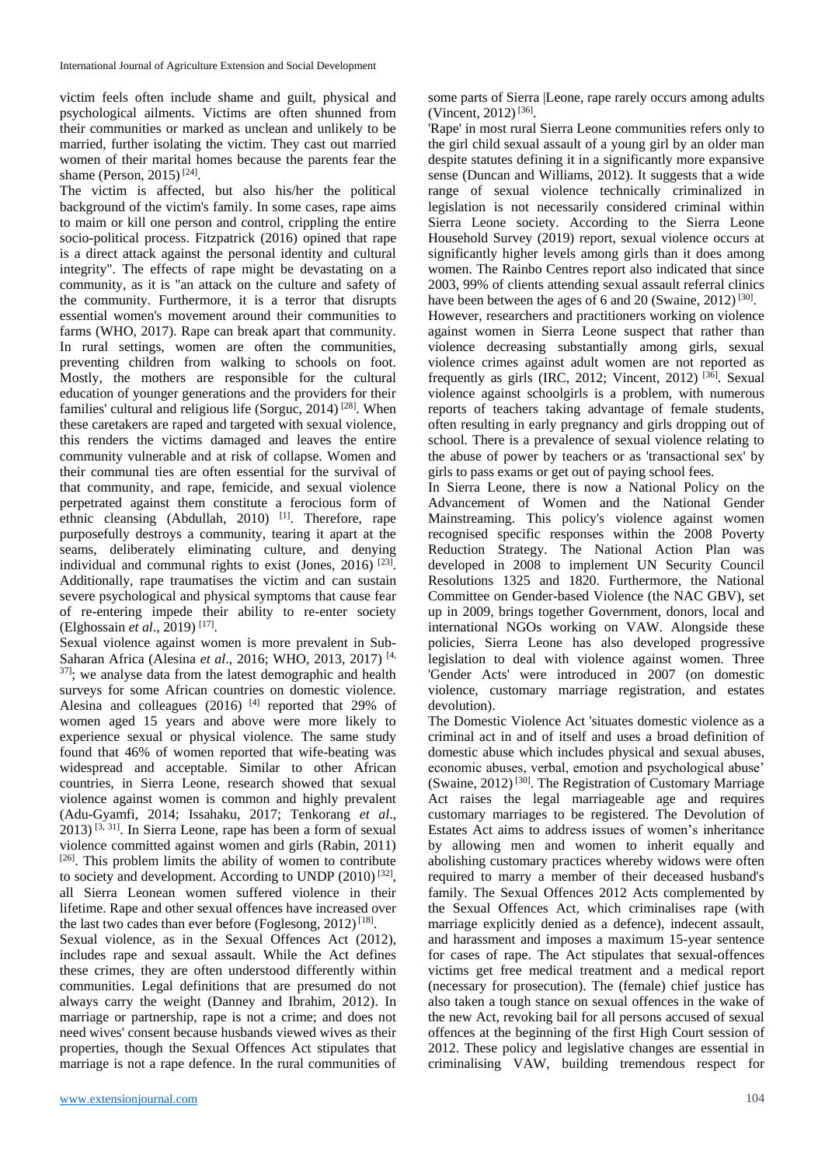victim feels often include shame and guilt, physical and psychological ailments. Victims are often shunned from their communities or marked as unclean and unlikely to be married, further isolating the victim. They cast out married women of their marital homes because the parents fear the shame (Person, 2015)<sup>[24]</sup>.

The victim is affected, but also his/her the political background of the victim's family. In some cases, rape aims to maim or kill one person and control, crippling the entire socio-political process. Fitzpatrick (2016) opined that rape is a direct attack against the personal identity and cultural integrity". The effects of rape might be devastating on a community, as it is "an attack on the culture and safety of the community. Furthermore, it is a terror that disrupts essential women's movement around their communities to farms (WHO, 2017). Rape can break apart that community. In rural settings, women are often the communities, preventing children from walking to schools on foot. Mostly, the mothers are responsible for the cultural education of younger generations and the providers for their families' cultural and religious life (Sorguc, 2014)<sup>[28]</sup>. When these caretakers are raped and targeted with sexual violence, this renders the victims damaged and leaves the entire community vulnerable and at risk of collapse. Women and their communal ties are often essential for the survival of that community, and rape, femicide, and sexual violence perpetrated against them constitute a ferocious form of ethnic cleansing (Abdullah, 2010)<sup>[1]</sup>. Therefore, rape purposefully destroys a community, tearing it apart at the seams, deliberately eliminating culture, and denying individual and communal rights to exist (Jones,  $2016$ )  $^{[23]}$ . Additionally, rape traumatises the victim and can sustain severe psychological and physical symptoms that cause fear of re-entering impede their ability to re-enter society (Elghossain *et al*., 2019) [17] .

Sexual violence against women is more prevalent in Sub-Saharan Africa (Alesina *et al*., 2016; WHO, 2013, 2017) [4, 37]; we analyse data from the latest demographic and health surveys for some African countries on domestic violence. Alesina and colleagues  $(2016)$ <sup>[4]</sup> reported that 29% of women aged 15 years and above were more likely to experience sexual or physical violence. The same study found that 46% of women reported that wife-beating was widespread and acceptable. Similar to other African countries, in Sierra Leone, research showed that sexual violence against women is common and highly prevalent (Adu-Gyamfi, 2014; Issahaku, 2017; Tenkorang *et al*.,  $2013$ ) [3, 31]. In Sierra Leone, rape has been a form of sexual violence committed against women and girls (Rabin, 2011) [26]. This problem limits the ability of women to contribute to society and development. According to UNDP  $(2010)$ <sup>[32]</sup>, all Sierra Leonean women suffered violence in their lifetime. Rape and other sexual offences have increased over the last two cades than ever before (Foglesong, 2012)<sup>[18]</sup>.

Sexual violence, as in the Sexual Offences Act (2012), includes rape and sexual assault. While the Act defines these crimes, they are often understood differently within communities. Legal definitions that are presumed do not always carry the weight (Danney and Ibrahim, 2012). In marriage or partnership, rape is not a crime; and does not need wives' consent because husbands viewed wives as their properties, though the Sexual Offences Act stipulates that marriage is not a rape defence. In the rural communities of some parts of Sierra |Leone, rape rarely occurs among adults (Vincent, 2012)<sup>[36]</sup>.

'Rape' in most rural Sierra Leone communities refers only to the girl child sexual assault of a young girl by an older man despite statutes defining it in a significantly more expansive sense (Duncan and Williams, 2012). It suggests that a wide range of sexual violence technically criminalized in legislation is not necessarily considered criminal within Sierra Leone society. According to the Sierra Leone Household Survey (2019) report, sexual violence occurs at significantly higher levels among girls than it does among women. The Rainbo Centres report also indicated that since 2003, 99% of clients attending sexual assault referral clinics have been between the ages of 6 and 20 (Swaine, 2012)<sup>[30]</sup>.

However, researchers and practitioners working on violence against women in Sierra Leone suspect that rather than violence decreasing substantially among girls, sexual violence crimes against adult women are not reported as frequently as girls (IRC, 2012; Vincent, 2012)<sup>[36]</sup>. Sexual violence against schoolgirls is a problem, with numerous reports of teachers taking advantage of female students, often resulting in early pregnancy and girls dropping out of school. There is a prevalence of sexual violence relating to the abuse of power by teachers or as 'transactional sex' by girls to pass exams or get out of paying school fees.

In Sierra Leone, there is now a National Policy on the Advancement of Women and the National Gender Mainstreaming. This policy's violence against women recognised specific responses within the 2008 Poverty Reduction Strategy. The National Action Plan was developed in 2008 to implement UN Security Council Resolutions 1325 and 1820. Furthermore, the National Committee on Gender-based Violence (the NAC GBV), set up in 2009, brings together Government, donors, local and international NGOs working on VAW. Alongside these policies, Sierra Leone has also developed progressive legislation to deal with violence against women. Three 'Gender Acts' were introduced in 2007 (on domestic violence, customary marriage registration, and estates devolution).

The Domestic Violence Act 'situates domestic violence as a criminal act in and of itself and uses a broad definition of domestic abuse which includes physical and sexual abuses, economic abuses, verbal, emotion and psychological abuse' (Swaine, 2012)<sup>[30]</sup>. The Registration of Customary Marriage Act raises the legal marriageable age and requires customary marriages to be registered. The Devolution of Estates Act aims to address issues of women's inheritance by allowing men and women to inherit equally and abolishing customary practices whereby widows were often required to marry a member of their deceased husband's family. The Sexual Offences 2012 Acts complemented by the Sexual Offences Act, which criminalises rape (with marriage explicitly denied as a defence), indecent assault, and harassment and imposes a maximum 15-year sentence for cases of rape. The Act stipulates that sexual-offences victims get free medical treatment and a medical report (necessary for prosecution). The (female) chief justice has also taken a tough stance on sexual offences in the wake of the new Act, revoking bail for all persons accused of sexual offences at the beginning of the first High Court session of 2012. These policy and legislative changes are essential in criminalising VAW, building tremendous respect for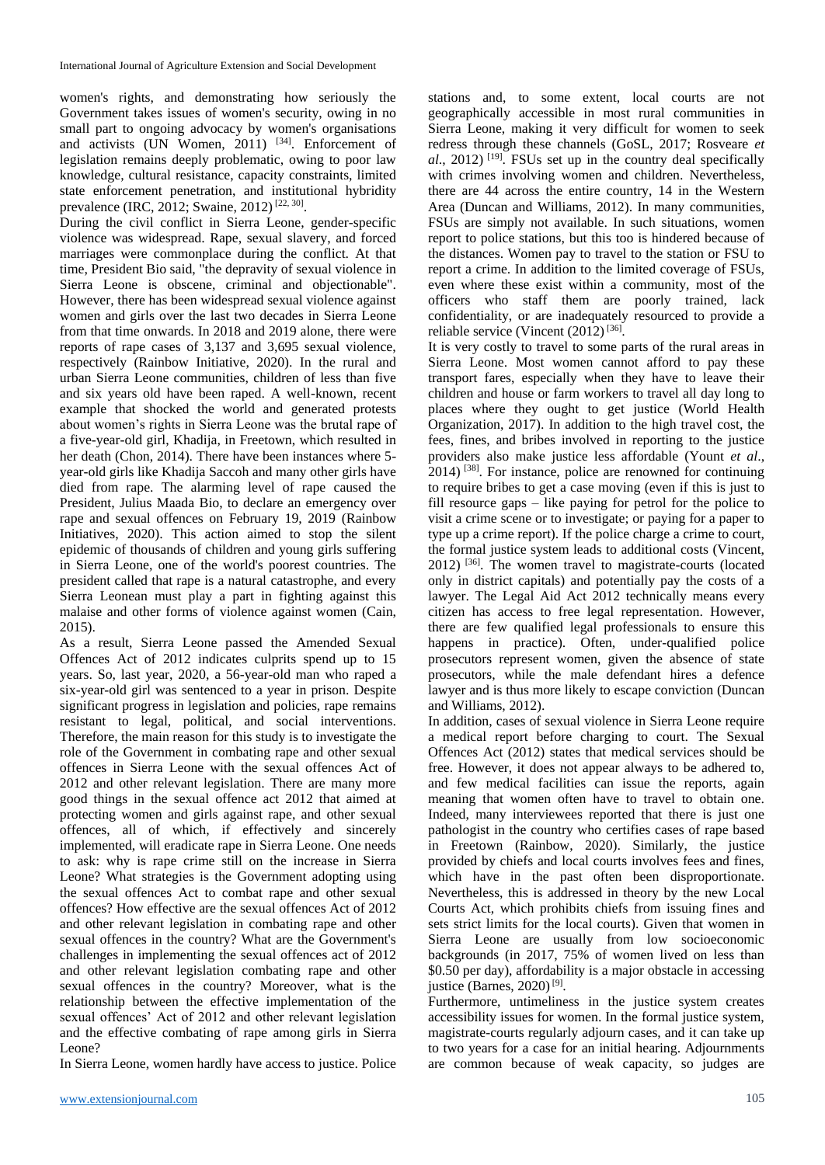women's rights, and demonstrating how seriously the Government takes issues of women's security, owing in no small part to ongoing advocacy by women's organisations and activists (UN Women, 2011)<sup>[34]</sup>. Enforcement of legislation remains deeply problematic, owing to poor law knowledge, cultural resistance, capacity constraints, limited state enforcement penetration, and institutional hybridity prevalence (IRC, 2012; Swaine, 2012)<sup>[22, 30]</sup>.

During the civil conflict in Sierra Leone, gender-specific violence was widespread. Rape, sexual slavery, and forced marriages were commonplace during the conflict. At that time, President Bio said, "the depravity of sexual violence in Sierra Leone is obscene, criminal and objectionable". However, there has been widespread sexual violence against women and girls over the last two decades in Sierra Leone from that time onwards. In 2018 and 2019 alone, there were reports of rape cases of 3,137 and 3,695 sexual violence, respectively (Rainbow Initiative, 2020). In the rural and urban Sierra Leone communities, children of less than five and six years old have been raped. A well-known, recent example that shocked the world and generated protests about women's rights in Sierra Leone was the brutal rape of a five-year-old girl, Khadija, in Freetown, which resulted in her death (Chon, 2014). There have been instances where 5 year-old girls like Khadija Saccoh and many other girls have died from rape. The alarming level of rape caused the President, Julius Maada Bio, to declare an emergency over rape and sexual offences on February 19, 2019 (Rainbow Initiatives, 2020). This action aimed to stop the silent epidemic of thousands of children and young girls suffering in Sierra Leone, one of the world's poorest countries. The president called that rape is a natural catastrophe, and every Sierra Leonean must play a part in fighting against this malaise and other forms of violence against women (Cain, 2015).

As a result, Sierra Leone passed the Amended Sexual Offences Act of 2012 indicates culprits spend up to 15 years. So, last year, 2020, a 56-year-old man who raped a six-year-old girl was sentenced to a year in prison. Despite significant progress in legislation and policies, rape remains resistant to legal, political, and social interventions. Therefore, the main reason for this study is to investigate the role of the Government in combating rape and other sexual offences in Sierra Leone with the sexual offences Act of 2012 and other relevant legislation. There are many more good things in the sexual offence act 2012 that aimed at protecting women and girls against rape, and other sexual offences, all of which, if effectively and sincerely implemented, will eradicate rape in Sierra Leone. One needs to ask: why is rape crime still on the increase in Sierra Leone? What strategies is the Government adopting using the sexual offences Act to combat rape and other sexual offences? How effective are the sexual offences Act of 2012 and other relevant legislation in combating rape and other sexual offences in the country? What are the Government's challenges in implementing the sexual offences act of 2012 and other relevant legislation combating rape and other sexual offences in the country? Moreover, what is the relationship between the effective implementation of the sexual offences' Act of 2012 and other relevant legislation and the effective combating of rape among girls in Sierra Leone?

In Sierra Leone, women hardly have access to justice. Police

stations and, to some extent, local courts are not geographically accessible in most rural communities in Sierra Leone, making it very difficult for women to seek redress through these channels (GoSL, 2017; Rosveare *et*  al., 2012)<sup>[19]</sup>. FSUs set up in the country deal specifically with crimes involving women and children. Nevertheless, there are 44 across the entire country, 14 in the Western Area (Duncan and Williams, 2012). In many communities, FSUs are simply not available. In such situations, women report to police stations, but this too is hindered because of the distances. Women pay to travel to the station or FSU to report a crime. In addition to the limited coverage of FSUs, even where these exist within a community, most of the officers who staff them are poorly trained, lack confidentiality, or are inadequately resourced to provide a reliable service (Vincent  $(2012)^{[36]}$ .

It is very costly to travel to some parts of the rural areas in Sierra Leone. Most women cannot afford to pay these transport fares, especially when they have to leave their children and house or farm workers to travel all day long to places where they ought to get justice (World Health Organization, 2017). In addition to the high travel cost, the fees, fines, and bribes involved in reporting to the justice providers also make justice less affordable (Yount *et al*.,  $2014$ )<sup>[38]</sup>. For instance, police are renowned for continuing to require bribes to get a case moving (even if this is just to fill resource gaps – like paying for petrol for the police to visit a crime scene or to investigate; or paying for a paper to type up a crime report). If the police charge a crime to court, the formal justice system leads to additional costs (Vincent, 2012) [36] . The women travel to magistrate-courts (located only in district capitals) and potentially pay the costs of a lawyer. The Legal Aid Act 2012 technically means every citizen has access to free legal representation. However, there are few qualified legal professionals to ensure this happens in practice). Often, under-qualified police prosecutors represent women, given the absence of state prosecutors, while the male defendant hires a defence lawyer and is thus more likely to escape conviction (Duncan and Williams, 2012).

In addition, cases of sexual violence in Sierra Leone require a medical report before charging to court. The Sexual Offences Act (2012) states that medical services should be free. However, it does not appear always to be adhered to, and few medical facilities can issue the reports, again meaning that women often have to travel to obtain one. Indeed, many interviewees reported that there is just one pathologist in the country who certifies cases of rape based in Freetown (Rainbow, 2020). Similarly, the justice provided by chiefs and local courts involves fees and fines, which have in the past often been disproportionate. Nevertheless, this is addressed in theory by the new Local Courts Act, which prohibits chiefs from issuing fines and sets strict limits for the local courts). Given that women in Sierra Leone are usually from low socioeconomic backgrounds (in 2017, 75% of women lived on less than \$0.50 per day), affordability is a major obstacle in accessing justice (Barnes, 2020)<sup>[9]</sup>.

Furthermore, untimeliness in the justice system creates accessibility issues for women. In the formal justice system, magistrate-courts regularly adjourn cases, and it can take up to two years for a case for an initial hearing. Adjournments are common because of weak capacity, so judges are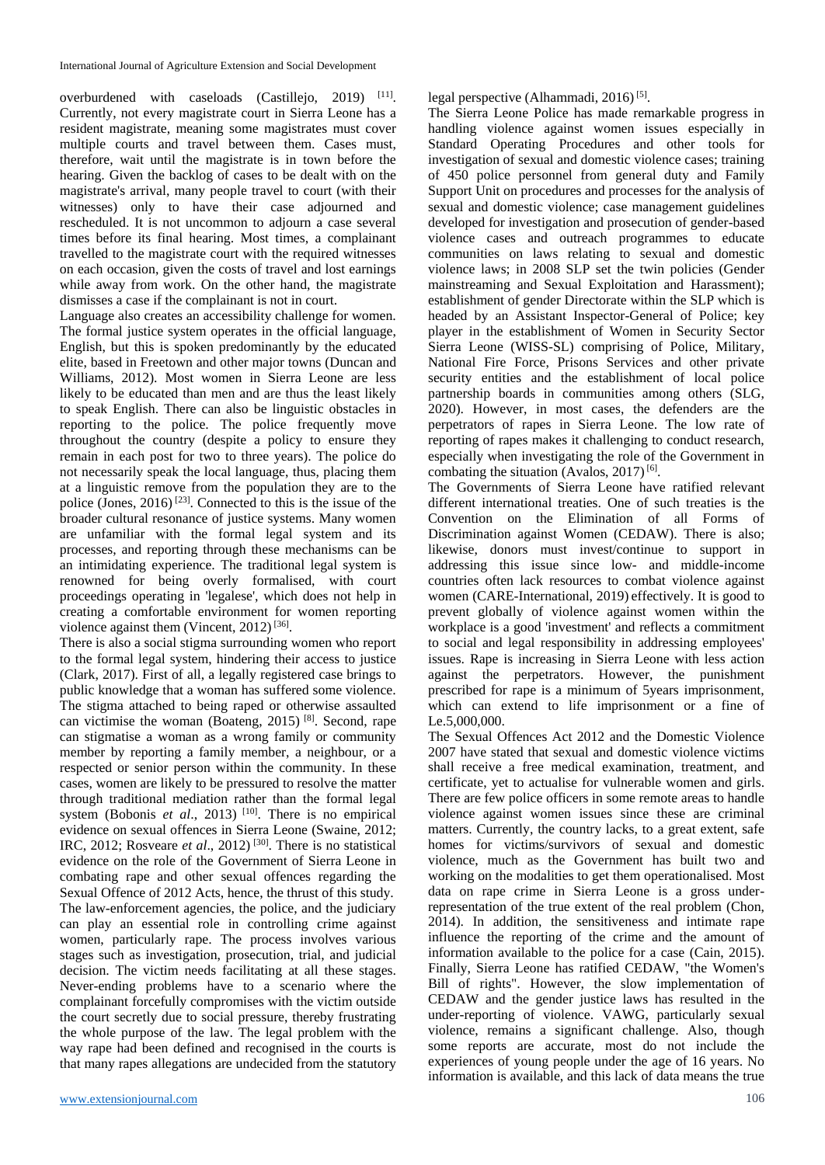overburdened with caseloads  $(Castillejo, 2019)$ <sup>[11]</sup>. Currently, not every magistrate court in Sierra Leone has a resident magistrate, meaning some magistrates must cover multiple courts and travel between them. Cases must, therefore, wait until the magistrate is in town before the hearing. Given the backlog of cases to be dealt with on the magistrate's arrival, many people travel to court (with their witnesses) only to have their case adjourned and rescheduled. It is not uncommon to adjourn a case several times before its final hearing. Most times, a complainant travelled to the magistrate court with the required witnesses on each occasion, given the costs of travel and lost earnings while away from work. On the other hand, the magistrate dismisses a case if the complainant is not in court.

Language also creates an accessibility challenge for women. The formal justice system operates in the official language, English, but this is spoken predominantly by the educated elite, based in Freetown and other major towns (Duncan and Williams, 2012). Most women in Sierra Leone are less likely to be educated than men and are thus the least likely to speak English. There can also be linguistic obstacles in reporting to the police. The police frequently move throughout the country (despite a policy to ensure they remain in each post for two to three years). The police do not necessarily speak the local language, thus, placing them at a linguistic remove from the population they are to the police (Jones,  $2016$ )<sup>[23]</sup>. Connected to this is the issue of the broader cultural resonance of justice systems. Many women are unfamiliar with the formal legal system and its processes, and reporting through these mechanisms can be an intimidating experience. The traditional legal system is renowned for being overly formalised, with court proceedings operating in 'legalese', which does not help in creating a comfortable environment for women reporting violence against them (Vincent,  $2012$ )<sup>[36]</sup>.

There is also a social stigma surrounding women who report to the formal legal system, hindering their access to justice (Clark, 2017). First of all, a legally registered case brings to public knowledge that a woman has suffered some violence. The stigma attached to being raped or otherwise assaulted can victimise the woman (Boateng, 2015)<sup>[8]</sup>. Second, rape can stigmatise a woman as a wrong family or community member by reporting a family member, a neighbour, or a respected or senior person within the community. In these cases, women are likely to be pressured to resolve the matter through traditional mediation rather than the formal legal system (Bobonis *et al.*, 2013)<sup>[10]</sup>. There is no empirical evidence on sexual offences in Sierra Leone (Swaine, 2012; IRC, 2012; Rosveare *et al*., 2012) [30] . There is no statistical evidence on the role of the Government of Sierra Leone in combating rape and other sexual offences regarding the Sexual Offence of 2012 Acts, hence, the thrust of this study. The law-enforcement agencies, the police, and the judiciary can play an essential role in controlling crime against women, particularly rape. The process involves various stages such as investigation, prosecution, trial, and judicial decision. The victim needs facilitating at all these stages. Never-ending problems have to a scenario where the complainant forcefully compromises with the victim outside the court secretly due to social pressure, thereby frustrating the whole purpose of the law. The legal problem with the way rape had been defined and recognised in the courts is that many rapes allegations are undecided from the statutory

legal perspective (Alhammadi, 2016)<sup>[5]</sup>.

The Sierra Leone Police has made remarkable progress in handling violence against women issues especially in Standard Operating Procedures and other tools for investigation of sexual and domestic violence cases; training of 450 police personnel from general duty and Family Support Unit on procedures and processes for the analysis of sexual and domestic violence; case management guidelines developed for investigation and prosecution of gender-based violence cases and outreach programmes to educate communities on laws relating to sexual and domestic violence laws; in 2008 SLP set the twin policies (Gender mainstreaming and Sexual Exploitation and Harassment); establishment of gender Directorate within the SLP which is headed by an Assistant Inspector-General of Police; key player in the establishment of Women in Security Sector Sierra Leone (WISS-SL) comprising of Police, Military, National Fire Force, Prisons Services and other private security entities and the establishment of local police partnership boards in communities among others (SLG, 2020). However, in most cases, the defenders are the perpetrators of rapes in Sierra Leone. The low rate of reporting of rapes makes it challenging to conduct research, especially when investigating the role of the Government in combating the situation (Avalos,  $2017$ )<sup>[6]</sup>.

The Governments of Sierra Leone have ratified relevant different international treaties. One of such treaties is the Convention on the Elimination of all Forms of Discrimination against Women (CEDAW). There is also; likewise, donors must invest/continue to support in addressing this issue since low- and middle-income countries often lack resources to combat violence against women (CARE-International, 2019) effectively. It is good to prevent globally of violence against women within the workplace is a good 'investment' and reflects a commitment to social and legal responsibility in addressing employees' issues. Rape is increasing in Sierra Leone with less action against the perpetrators. However, the punishment prescribed for rape is a minimum of 5years imprisonment, which can extend to life imprisonment or a fine of Le.5,000,000.

The Sexual Offences Act 2012 and the Domestic Violence 2007 have stated that sexual and domestic violence victims shall receive a free medical examination, treatment, and certificate, yet to actualise for vulnerable women and girls. There are few police officers in some remote areas to handle violence against women issues since these are criminal matters. Currently, the country lacks, to a great extent, safe homes for victims/survivors of sexual and domestic violence, much as the Government has built two and working on the modalities to get them operationalised. Most data on rape crime in Sierra Leone is a gross underrepresentation of the true extent of the real problem (Chon, 2014). In addition, the sensitiveness and intimate rape influence the reporting of the crime and the amount of information available to the police for a case (Cain, 2015). Finally, Sierra Leone has ratified CEDAW, "the Women's Bill of rights". However, the slow implementation of CEDAW and the gender justice laws has resulted in the under-reporting of violence. VAWG, particularly sexual violence, remains a significant challenge. Also, though some reports are accurate, most do not include the experiences of young people under the age of 16 years. No information is available, and this lack of data means the true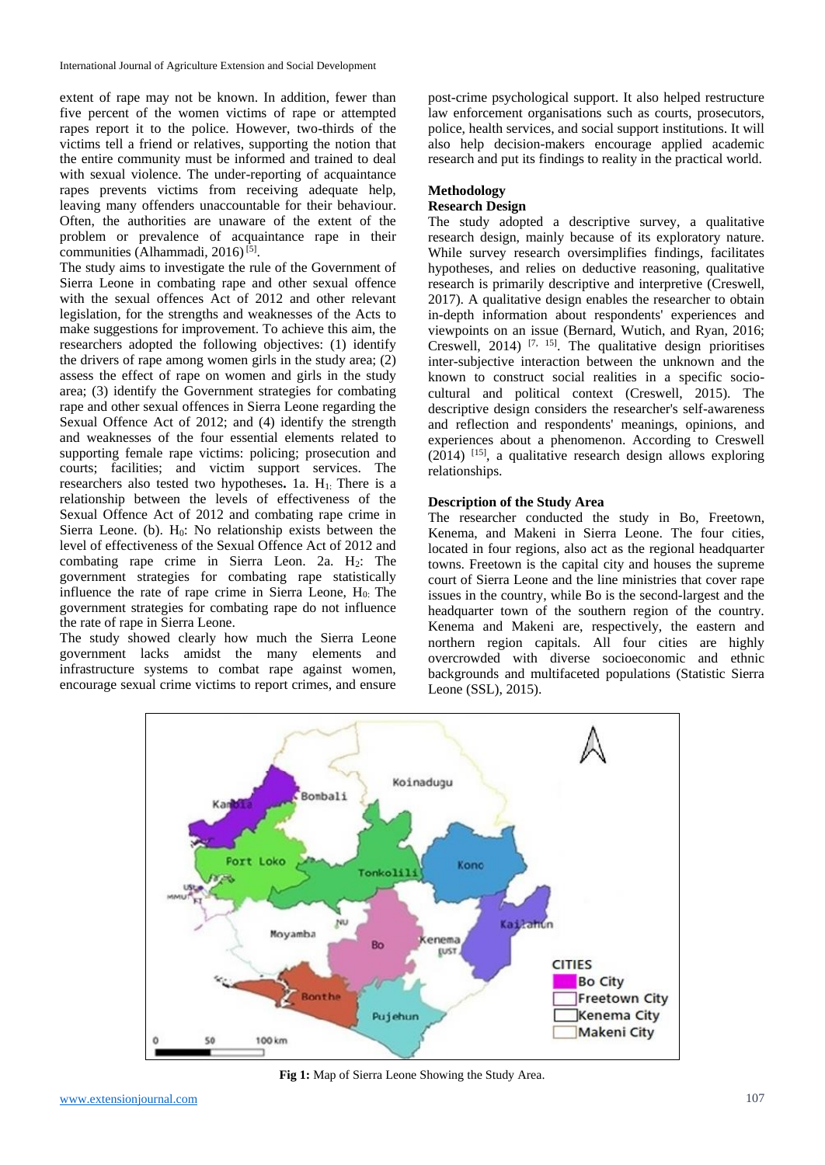extent of rape may not be known. In addition, fewer than five percent of the women victims of rape or attempted rapes report it to the police. However, two-thirds of the victims tell a friend or relatives, supporting the notion that the entire community must be informed and trained to deal with sexual violence. The under-reporting of acquaintance rapes prevents victims from receiving adequate help, leaving many offenders unaccountable for their behaviour. Often, the authorities are unaware of the extent of the problem or prevalence of acquaintance rape in their communities (Alhammadi, 2016) [5] .

The study aims to investigate the rule of the Government of Sierra Leone in combating rape and other sexual offence with the sexual offences Act of 2012 and other relevant legislation, for the strengths and weaknesses of the Acts to make suggestions for improvement. To achieve this aim, the researchers adopted the following objectives: (1) identify the drivers of rape among women girls in the study area; (2) assess the effect of rape on women and girls in the study area; (3) identify the Government strategies for combating rape and other sexual offences in Sierra Leone regarding the Sexual Offence Act of 2012; and (4) identify the strength and weaknesses of the four essential elements related to supporting female rape victims: policing; prosecution and courts; facilities; and victim support services. The researchers also tested two hypotheses**.** 1a. H1: There is a relationship between the levels of effectiveness of the Sexual Offence Act of 2012 and combating rape crime in Sierra Leone. (b).  $H_0$ : No relationship exists between the level of effectiveness of the Sexual Offence Act of 2012 and combating rape crime in Sierra Leon. 2a. H<sub>2</sub>: The government strategies for combating rape statistically influence the rate of rape crime in Sierra Leone, H<sub>0</sub>: The government strategies for combating rape do not influence the rate of rape in Sierra Leone.

The study showed clearly how much the Sierra Leone government lacks amidst the many elements and infrastructure systems to combat rape against women, encourage sexual crime victims to report crimes, and ensure

post-crime psychological support. It also helped restructure law enforcement organisations such as courts, prosecutors, police, health services, and social support institutions. It will also help decision-makers encourage applied academic research and put its findings to reality in the practical world.

#### **Methodology Research Design**

The study adopted a descriptive survey, a qualitative research design, mainly because of its exploratory nature. While survey research oversimplifies findings, facilitates hypotheses, and relies on deductive reasoning, qualitative research is primarily descriptive and interpretive (Creswell, 2017). A qualitative design enables the researcher to obtain in-depth information about respondents' experiences and viewpoints on an issue (Bernard, Wutich, and Ryan, 2016; Creswell,  $2014$ )<sup>[7, 15]</sup>. The qualitative design prioritises inter-subjective interaction between the unknown and the known to construct social realities in a specific sociocultural and political context (Creswell, 2015). The descriptive design considers the researcher's self-awareness and reflection and respondents' meanings, opinions, and experiences about a phenomenon. According to Creswell (2014) [15] , a qualitative research design allows exploring relationships.

#### **Description of the Study Area**

The researcher conducted the study in Bo, Freetown, Kenema, and Makeni in Sierra Leone. The four cities, located in four regions, also act as the regional headquarter towns. Freetown is the capital city and houses the supreme court of Sierra Leone and the line ministries that cover rape issues in the country, while Bo is the second-largest and the headquarter town of the southern region of the country. Kenema and Makeni are, respectively, the eastern and northern region capitals. All four cities are highly overcrowded with diverse socioeconomic and ethnic backgrounds and multifaceted populations (Statistic Sierra Leone (SSL), 2015).



**Fig 1:** Map of Sierra Leone Showing the Study Area.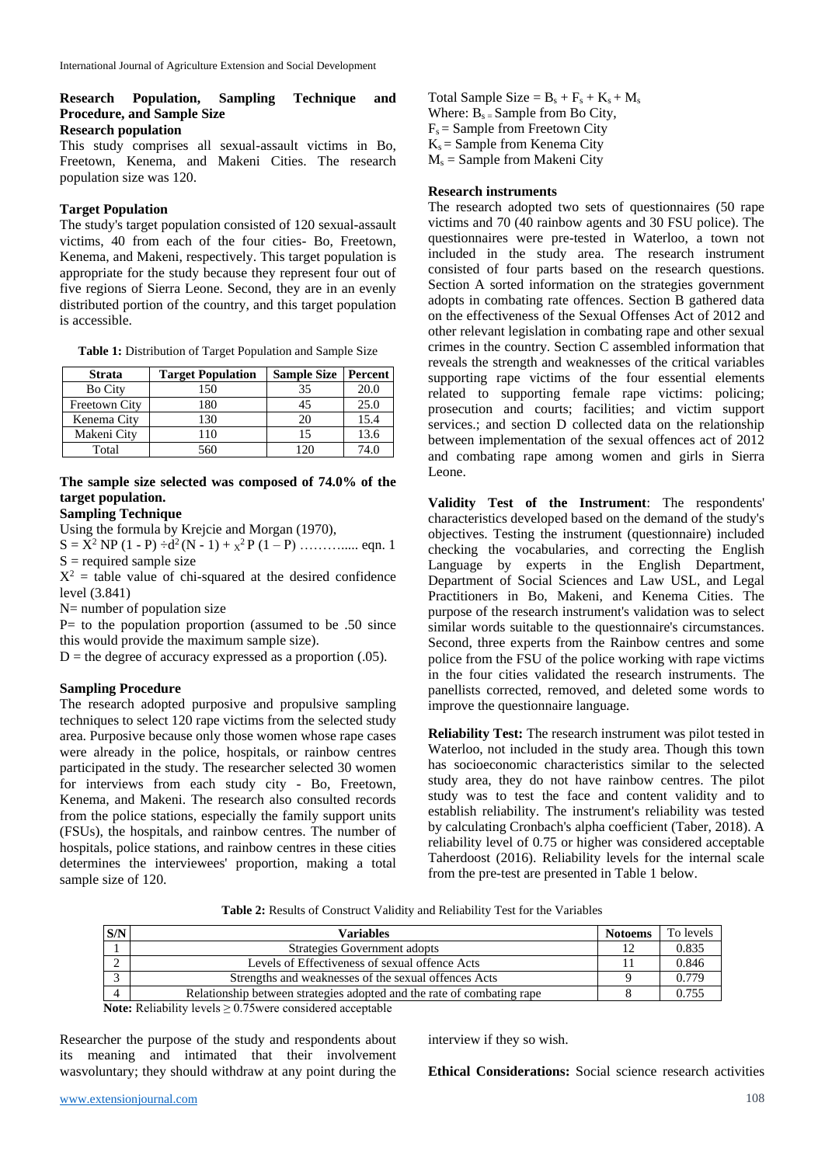#### **Research Population, Sampling Technique and Procedure, and Sample Size Research population**

This study comprises all sexual-assault victims in Bo, Freetown, Kenema, and Makeni Cities. The research population size was 120.

#### **Target Population**

The study's target population consisted of 120 sexual-assault victims, 40 from each of the four cities- Bo, Freetown, Kenema, and Makeni, respectively. This target population is appropriate for the study because they represent four out of five regions of Sierra Leone. Second, they are in an evenly distributed portion of the country, and this target population is accessible.

**Table 1:** Distribution of Target Population and Sample Size

| <b>Strata</b>  | <b>Target Population</b> | <b>Sample Size</b> | Percent |
|----------------|--------------------------|--------------------|---------|
| <b>Bo City</b> | 150                      | 35                 | 20.0    |
| Freetown City  | 180                      | 45                 | 25.0    |
| Kenema City    | 130                      | 20                 | 15.4    |
| Makeni City    | 110                      | 15                 | 13.6    |
| Total          | 60                       |                    | 74.0    |

# **The sample size selected was composed of 74.0% of the target population.**

# **Sampling Technique**

Using the formula by Krejcie and Morgan (1970),

 $S = X^2 NP (1 - P) \div d^2(N - 1) + x^2 P (1 - P) \dots$  eqn. 1  $S =$  required sample size

 $X^2$  = table value of chi-squared at the desired confidence level (3.841)

N= number of population size

 $P=$  to the population proportion (assumed to be .50 since this would provide the maximum sample size).

 $D =$  the degree of accuracy expressed as a proportion (.05).

# **Sampling Procedure**

The research adopted purposive and propulsive sampling techniques to select 120 rape victims from the selected study area. Purposive because only those women whose rape cases were already in the police, hospitals, or rainbow centres participated in the study. The researcher selected 30 women for interviews from each study city - Bo, Freetown, Kenema, and Makeni. The research also consulted records from the police stations, especially the family support units (FSUs), the hospitals, and rainbow centres. The number of hospitals, police stations, and rainbow centres in these cities determines the interviewees' proportion, making a total sample size of 120.

Total Sample Size =  $B_s + F_s + K_s + M_s$ Where:  $B_{s}$  Sample from Bo City,  $F_s$  = Sample from Freetown City  $K_s$  = Sample from Kenema City  $M_s$  = Sample from Makeni City

#### **Research instruments**

The research adopted two sets of questionnaires (50 rape victims and 70 (40 rainbow agents and 30 FSU police). The questionnaires were pre-tested in Waterloo, a town not included in the study area. The research instrument consisted of four parts based on the research questions. Section A sorted information on the strategies government adopts in combating rate offences. Section B gathered data on the effectiveness of the Sexual Offenses Act of 2012 and other relevant legislation in combating rape and other sexual crimes in the country. Section C assembled information that reveals the strength and weaknesses of the critical variables supporting rape victims of the four essential elements related to supporting female rape victims: policing; prosecution and courts; facilities; and victim support services.; and section D collected data on the relationship between implementation of the sexual offences act of 2012 and combating rape among women and girls in Sierra Leone.

**Validity Test of the Instrument**: The respondents' characteristics developed based on the demand of the study's objectives. Testing the instrument (questionnaire) included checking the vocabularies, and correcting the English Language by experts in the English Department, Department of Social Sciences and Law USL, and Legal Practitioners in Bo, Makeni, and Kenema Cities. The purpose of the research instrument's validation was to select similar words suitable to the questionnaire's circumstances. Second, three experts from the Rainbow centres and some police from the FSU of the police working with rape victims in the four cities validated the research instruments. The panellists corrected, removed, and deleted some words to improve the questionnaire language.

**Reliability Test:** The research instrument was pilot tested in Waterloo, not included in the study area. Though this town has socioeconomic characteristics similar to the selected study area, they do not have rainbow centres. The pilot study was to test the face and content validity and to establish reliability. The instrument's reliability was tested by calculating Cronbach's alpha coefficient (Taber, 2018). A reliability level of 0.75 or higher was considered acceptable Taherdoost (2016). Reliability levels for the internal scale from the pre-test are presented in Table 1 below.

**Table 2:** Results of Construct Validity and Reliability Test for the Variables

| S/N | Variables                                                              | <b>Notoems</b> | To levels |
|-----|------------------------------------------------------------------------|----------------|-----------|
|     | Strategies Government adopts                                           |                | 0.835     |
|     | Levels of Effectiveness of sexual offence Acts                         |                | 0.846     |
|     | Strengths and weaknesses of the sexual offences Acts                   |                | 0.779     |
|     | Relationship between strategies adopted and the rate of combating rape |                | 0.755     |

**Note:** Reliability levels  $\geq 0.75$  were considered acceptable

Researcher the purpose of the study and respondents about its meaning and intimated that their involvement wasvoluntary; they should withdraw at any point during the interview if they so wish.

**Ethical Considerations:** Social science research activities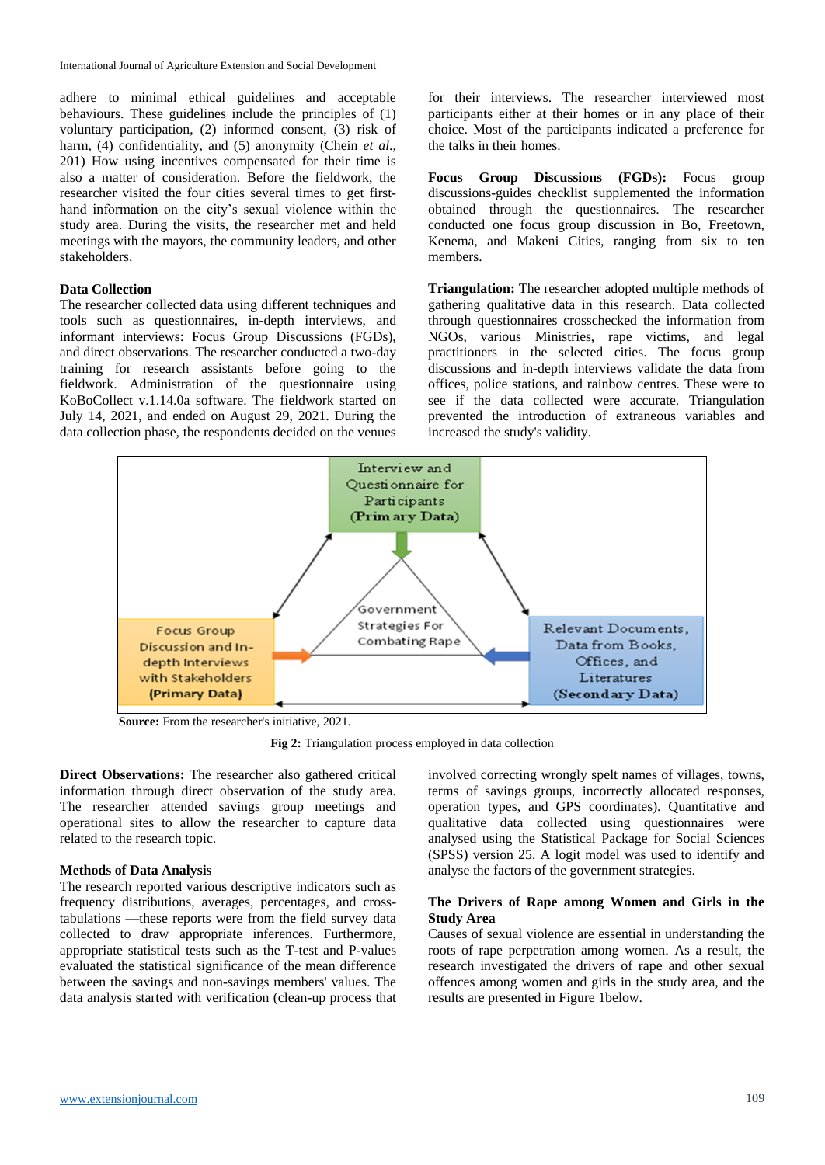adhere to minimal ethical guidelines and acceptable behaviours. These guidelines include the principles of (1) voluntary participation, (2) informed consent, (3) risk of harm, (4) confidentiality, and (5) anonymity (Chein *et al.*, 201) How using incentives compensated for their time is also a matter of consideration. Before the fieldwork, the researcher visited the four cities several times to get firsthand information on the city's sexual violence within the study area. During the visits, the researcher met and held meetings with the mayors, the community leaders, and other stakeholders.

#### **Data Collection**

The researcher collected data using different techniques and tools such as questionnaires, in-depth interviews, and informant interviews: Focus Group Discussions (FGDs), and direct observations. The researcher conducted a two-day training for research assistants before going to the fieldwork. Administration of the questionnaire using KoBoCollect v.1.14.0a software. The fieldwork started on July 14, 2021, and ended on August 29, 2021. During the data collection phase, the respondents decided on the venues for their interviews. The researcher interviewed most participants either at their homes or in any place of their choice. Most of the participants indicated a preference for the talks in their homes.

**Focus Group Discussions (FGDs):** Focus group discussions-guides checklist supplemented the information obtained through the questionnaires. The researcher conducted one focus group discussion in Bo, Freetown, Kenema, and Makeni Cities, ranging from six to ten members.

**Triangulation:** The researcher adopted multiple methods of gathering qualitative data in this research. Data collected through questionnaires crosschecked the information from NGOs, various Ministries, rape victims, and legal practitioners in the selected cities. The focus group discussions and in-depth interviews validate the data from offices, police stations, and rainbow centres. These were to see if the data collected were accurate. Triangulation prevented the introduction of extraneous variables and increased the study's validity.



**Source:** From the researcher's initiative, 2021.

**Fig 2:** Triangulation process employed in data collection

**Direct Observations:** The researcher also gathered critical information through direct observation of the study area. The researcher attended savings group meetings and operational sites to allow the researcher to capture data related to the research topic.

#### **Methods of Data Analysis**

The research reported various descriptive indicators such as frequency distributions, averages, percentages, and crosstabulations —these reports were from the field survey data collected to draw appropriate inferences. Furthermore, appropriate statistical tests such as the T-test and P-values evaluated the statistical significance of the mean difference between the savings and non-savings members' values. The data analysis started with verification (clean-up process that involved correcting wrongly spelt names of villages, towns, terms of savings groups, incorrectly allocated responses, operation types, and GPS coordinates). Quantitative and qualitative data collected using questionnaires were analysed using the Statistical Package for Social Sciences (SPSS) version 25. A logit model was used to identify and analyse the factors of the government strategies.

# **The Drivers of Rape among Women and Girls in the Study Area**

Causes of sexual violence are essential in understanding the roots of rape perpetration among women. As a result, the research investigated the drivers of rape and other sexual offences among women and girls in the study area, and the results are presented in Figure 1below.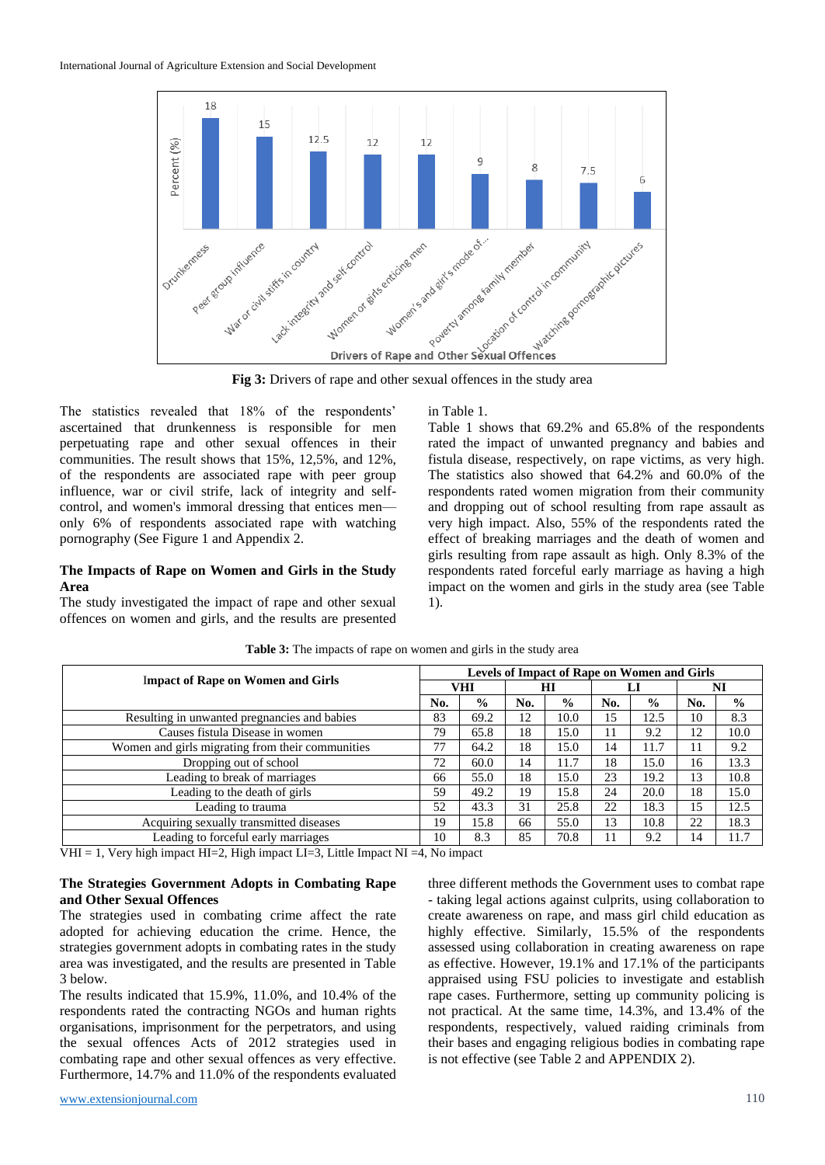

**Fig 3:** Drivers of rape and other sexual offences in the study area

The statistics revealed that 18% of the respondents' ascertained that drunkenness is responsible for men perpetuating rape and other sexual offences in their communities. The result shows that 15%, 12,5%, and 12%, of the respondents are associated rape with peer group influence, war or civil strife, lack of integrity and selfcontrol, and women's immoral dressing that entices men only 6% of respondents associated rape with watching pornography (See Figure 1 and Appendix 2.

## **The Impacts of Rape on Women and Girls in the Study Area**

The study investigated the impact of rape and other sexual offences on women and girls, and the results are presented in Table 1.

Table 1 shows that 69.2% and 65.8% of the respondents rated the impact of unwanted pregnancy and babies and fistula disease, respectively, on rape victims, as very high. The statistics also showed that 64.2% and 60.0% of the respondents rated women migration from their community and dropping out of school resulting from rape assault as very high impact. Also, 55% of the respondents rated the effect of breaking marriages and the death of women and girls resulting from rape assault as high. Only 8.3% of the respondents rated forceful early marriage as having a high impact on the women and girls in the study area (see Table 1).

| <b>Impact of Rape on Women and Girls</b>         |     | Levels of Impact of Rape on Women and Girls |     |               |     |               |     |               |  |
|--------------------------------------------------|-----|---------------------------------------------|-----|---------------|-----|---------------|-----|---------------|--|
|                                                  |     | VHI                                         |     | ΗΙ            | LI  |               | NI  |               |  |
|                                                  | No. | $\frac{0}{0}$                               | No. | $\frac{0}{0}$ | No. | $\frac{0}{0}$ | No. | $\frac{6}{6}$ |  |
| Resulting in unwanted pregnancies and babies     | 83  | 69.2                                        | 12  | 10.0          | 15  | 12.5          | 10  | 8.3           |  |
| Causes fistula Disease in women                  | 79  | 65.8                                        | 18  | 15.0          | 11  | 9.2           | 12  | 10.0          |  |
| Women and girls migrating from their communities | 77  | 64.2                                        | 18  | 15.0          | 14  | 11.7          | 11  | 9.2           |  |
| Dropping out of school                           | 72  | 60.0                                        | 14  | 11.7          | 18  | 15.0          | 16  | 13.3          |  |
| Leading to break of marriages                    | 66  | 55.0                                        | 18  | 15.0          | 23  | 19.2          | 13  | 10.8          |  |
| Leading to the death of girls                    | 59  | 49.2                                        | 19  | 15.8          | 24  | 20.0          | 18  | 15.0          |  |
| Leading to trauma                                | 52  | 43.3                                        | 31  | 25.8          | 22  | 18.3          | 15  | 12.5          |  |
| Acquiring sexually transmitted diseases          | 19  | 15.8                                        | 66  | 55.0          | 13  | 10.8          | 22  | 18.3          |  |
| Leading to forceful early marriages              | 10  | 8.3                                         | 85  | 70.8          | 11  | 9.2           | 14  | 11.7          |  |

Table 3: The impacts of rape on women and girls in the study area

VHI = 1, Very high impact HI=2, High impact LI=3, Little Impact NI = 4, No impact

#### **The Strategies Government Adopts in Combating Rape and Other Sexual Offences**

The strategies used in combating crime affect the rate adopted for achieving education the crime. Hence, the strategies government adopts in combating rates in the study area was investigated, and the results are presented in Table 3 below.

The results indicated that 15.9%, 11.0%, and 10.4% of the respondents rated the contracting NGOs and human rights organisations, imprisonment for the perpetrators, and using the sexual offences Acts of 2012 strategies used in combating rape and other sexual offences as very effective. Furthermore, 14.7% and 11.0% of the respondents evaluated

three different methods the Government uses to combat rape - taking legal actions against culprits, using collaboration to create awareness on rape, and mass girl child education as highly effective. Similarly, 15.5% of the respondents assessed using collaboration in creating awareness on rape as effective. However, 19.1% and 17.1% of the participants appraised using FSU policies to investigate and establish rape cases. Furthermore, setting up community policing is not practical. At the same time, 14.3%, and 13.4% of the respondents, respectively, valued raiding criminals from their bases and engaging religious bodies in combating rape is not effective (see Table 2 and APPENDIX 2).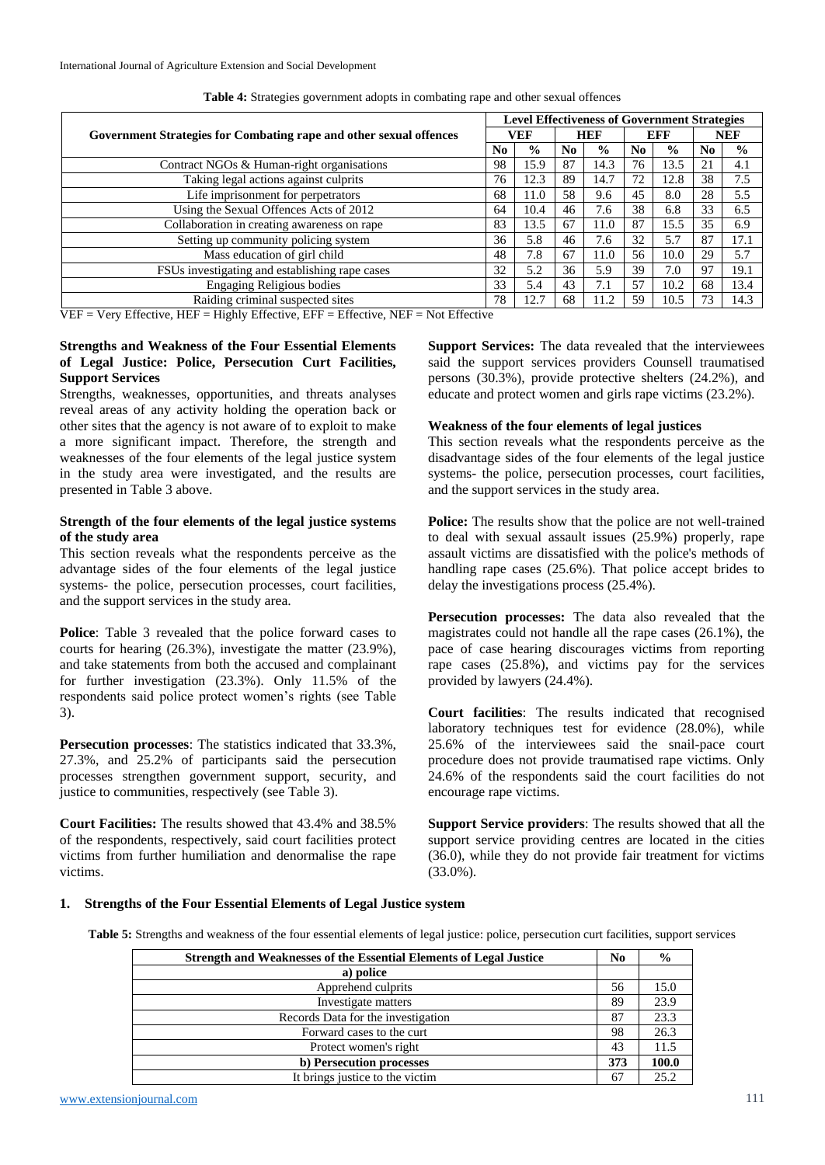| Government Strategies for Combating rape and other sexual offences |    | <b>Level Effectiveness of Government Strategies</b> |     |               |     |               |                |               |
|--------------------------------------------------------------------|----|-----------------------------------------------------|-----|---------------|-----|---------------|----------------|---------------|
|                                                                    |    | VEF                                                 |     | <b>HEF</b>    |     | <b>EFF</b>    |                | <b>NEF</b>    |
|                                                                    |    | $\frac{0}{0}$                                       | No. | $\frac{0}{0}$ | No. | $\frac{0}{0}$ | N <sub>0</sub> | $\frac{0}{0}$ |
| Contract NGOs & Human-right organisations                          | 98 | 15.9                                                | 87  | 14.3          | 76  | 13.5          | 21             | 4.1           |
| Taking legal actions against culprits                              | 76 | 12.3                                                | 89  | 14.7          | 72  | 12.8          | 38             | 7.5           |
| Life imprisonment for perpetrators                                 | 68 | 11.0                                                | 58  | 9.6           | 45  | 8.0           | 28             | 5.5           |
| Using the Sexual Offences Acts of 2012                             | 64 | 10.4                                                | 46  | 7.6           | 38  | 6.8           | 33             | 6.5           |
| Collaboration in creating awareness on rape                        | 83 | 13.5                                                | 67  | 11.0          | 87  | 15.5          | 35             | 6.9           |
| Setting up community policing system                               | 36 | 5.8                                                 | 46  | 7.6           | 32  | 5.7           | 87             | 17.1          |
| Mass education of girl child                                       | 48 | 7.8                                                 | 67  | 11.0          | 56  | 10.0          | 29             | 5.7           |
| FSUs investigating and establishing rape cases                     | 32 | 5.2                                                 | 36  | 5.9           | 39  | 7.0           | 97             | 19.1          |
| <b>Engaging Religious bodies</b>                                   | 33 | 5.4                                                 | 43  | 7.1           | 57  | 10.2          | 68             | 13.4          |
| Raiding criminal suspected sites                                   | 78 | 12.7                                                | 68  | 11.2          | 59  | 10.5          | 73             | 14.3          |

**Table 4:** Strategies government adopts in combating rape and other sexual offences

VEF = Very Effective, HEF = Highly Effective, EFF = Effective, NEF = Not Effective

### **Strengths and Weakness of the Four Essential Elements of Legal Justice: Police, Persecution Curt Facilities, Support Services**

Strengths, weaknesses, opportunities, and threats analyses reveal areas of any activity holding the operation back or other sites that the agency is not aware of to exploit to make a more significant impact. Therefore, the strength and weaknesses of the four elements of the legal justice system in the study area were investigated, and the results are presented in Table 3 above.

#### **Strength of the four elements of the legal justice systems of the study area**

This section reveals what the respondents perceive as the advantage sides of the four elements of the legal justice systems- the police, persecution processes, court facilities, and the support services in the study area.

**Police**: Table 3 revealed that the police forward cases to courts for hearing (26.3%), investigate the matter (23.9%), and take statements from both the accused and complainant for further investigation (23.3%). Only 11.5% of the respondents said police protect women's rights (see Table 3).

**Persecution processes**: The statistics indicated that 33.3%, 27.3%, and 25.2% of participants said the persecution processes strengthen government support, security, and justice to communities, respectively (see Table 3).

**Court Facilities:** The results showed that 43.4% and 38.5% of the respondents, respectively, said court facilities protect victims from further humiliation and denormalise the rape victims.

**Support Services:** The data revealed that the interviewees said the support services providers Counsell traumatised persons (30.3%), provide protective shelters (24.2%), and educate and protect women and girls rape victims (23.2%).

#### **Weakness of the four elements of legal justices**

This section reveals what the respondents perceive as the disadvantage sides of the four elements of the legal justice systems- the police, persecution processes, court facilities, and the support services in the study area.

**Police:** The results show that the police are not well-trained to deal with sexual assault issues (25.9%) properly, rape assault victims are dissatisfied with the police's methods of handling rape cases (25.6%). That police accept brides to delay the investigations process (25.4%).

**Persecution processes:** The data also revealed that the magistrates could not handle all the rape cases (26.1%), the pace of case hearing discourages victims from reporting rape cases (25.8%), and victims pay for the services provided by lawyers (24.4%).

**Court facilities**: The results indicated that recognised laboratory techniques test for evidence (28.0%), while 25.6% of the interviewees said the snail-pace court procedure does not provide traumatised rape victims. Only 24.6% of the respondents said the court facilities do not encourage rape victims.

**Support Service providers**: The results showed that all the support service providing centres are located in the cities (36.0), while they do not provide fair treatment for victims (33.0%).

#### **1. Strengths of the Four Essential Elements of Legal Justice system**

**Table 5:** Strengths and weakness of the four essential elements of legal justice: police, persecution curt facilities, support services

| <b>Strength and Weaknesses of the Essential Elements of Legal Justice</b> |     | $\frac{0}{0}$ |
|---------------------------------------------------------------------------|-----|---------------|
| a) police                                                                 |     |               |
| Apprehend culprits                                                        | 56  | 15.0          |
| Investigate matters                                                       | 89  | 23.9          |
| Records Data for the investigation                                        | 87  | 23.3          |
| Forward cases to the curt                                                 | 98  | 26.3          |
| Protect women's right                                                     | 43  | 11.5          |
| b) Persecution processes                                                  | 373 | 100.0         |
| It brings justice to the victim                                           | 67  | 25.2          |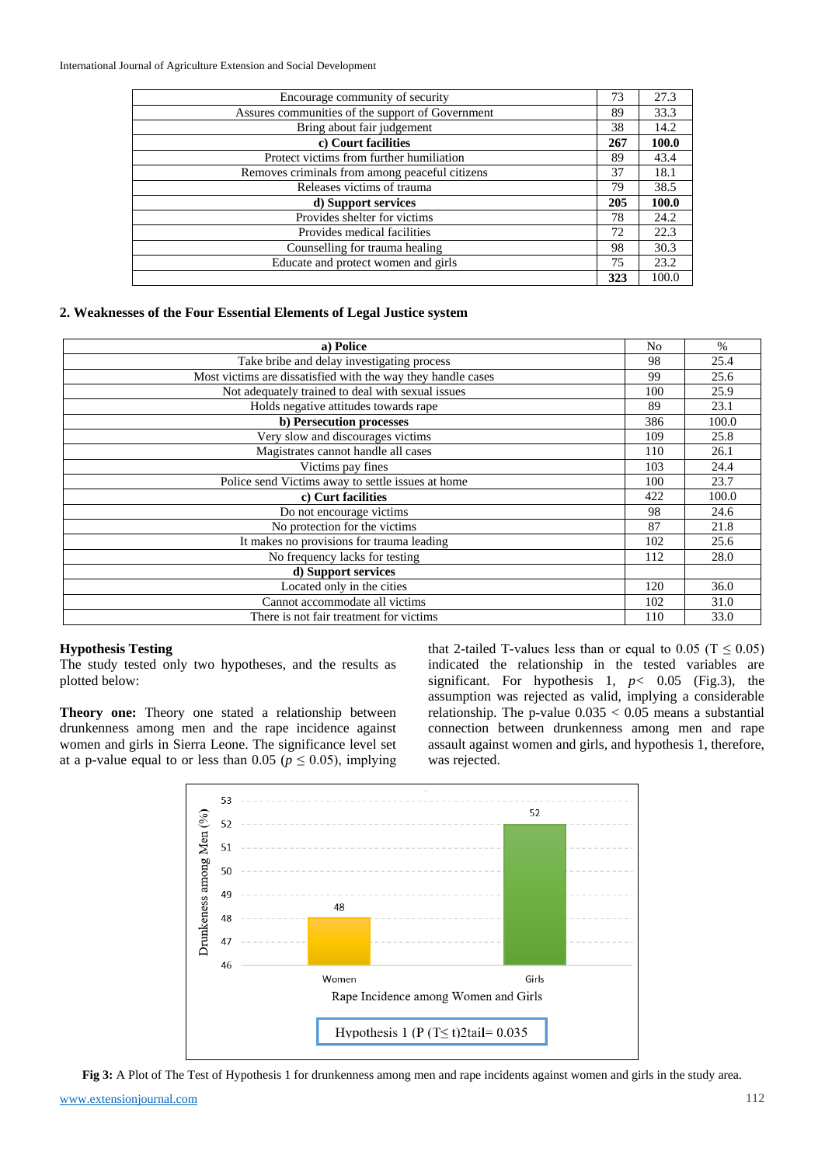| Encourage community of security                  | 73  | 27.3  |
|--------------------------------------------------|-----|-------|
| Assures communities of the support of Government | 89  | 33.3  |
| Bring about fair judgement                       | 38  | 14.2  |
| c) Court facilities                              | 267 | 100.0 |
| Protect victims from further humiliation         | 89  | 43.4  |
| Removes criminals from among peaceful citizens   | 37  | 18.1  |
| Releases victims of trauma                       | 79  | 38.5  |
| d) Support services                              | 205 | 100.0 |
| Provides shelter for victims                     | 78  | 24.2  |
| Provides medical facilities                      | 72  | 22.3  |
| Counselling for trauma healing                   | 98  | 30.3  |
| Educate and protect women and girls              | 75  | 23.2  |
|                                                  | 323 | 100.0 |

#### **2. Weaknesses of the Four Essential Elements of Legal Justice system**

| a) Police                                                    | No  | $\frac{0}{0}$ |
|--------------------------------------------------------------|-----|---------------|
| Take bribe and delay investigating process                   | 98  | 25.4          |
| Most victims are dissatisfied with the way they handle cases | 99  | 25.6          |
| Not adequately trained to deal with sexual issues            | 100 | 25.9          |
| Holds negative attitudes towards rape                        | 89  | 23.1          |
| b) Persecution processes                                     | 386 | 100.0         |
| Very slow and discourages victims                            | 109 | 25.8          |
| Magistrates cannot handle all cases                          | 110 | 26.1          |
| Victims pay fines                                            | 103 | 24.4          |
| Police send Victims away to settle issues at home            | 100 | 23.7          |
| c) Curt facilities                                           | 422 | 100.0         |
| Do not encourage victims                                     | 98  | 24.6          |
| No protection for the victims                                | 87  | 21.8          |
| It makes no provisions for trauma leading                    | 102 | 25.6          |
| No frequency lacks for testing                               | 112 | 28.0          |
| d) Support services                                          |     |               |
| Located only in the cities                                   | 120 | 36.0          |
| Cannot accommodate all victims                               | 102 | 31.0          |
| There is not fair treatment for victims                      | 110 | 33.0          |

#### **Hypothesis Testing**

The study tested only two hypotheses, and the results as plotted below:

**Theory one:** Theory one stated a relationship between drunkenness among men and the rape incidence against women and girls in Sierra Leone. The significance level set at a p-value equal to or less than 0.05 ( $p \le 0.05$ ), implying that 2-tailed T-values less than or equal to 0.05 ( $T \le 0.05$ ) indicated the relationship in the tested variables are significant. For hypothesis 1, *p<* 0.05 (Fig.3), the assumption was rejected as valid, implying a considerable relationship. The p-value  $0.035 < 0.05$  means a substantial connection between drunkenness among men and rape assault against women and girls, and hypothesis 1, therefore, was rejected.



**Fig 3:** A Plot of The Test of Hypothesis 1 for drunkenness among men and rape incidents against women and girls in the study area.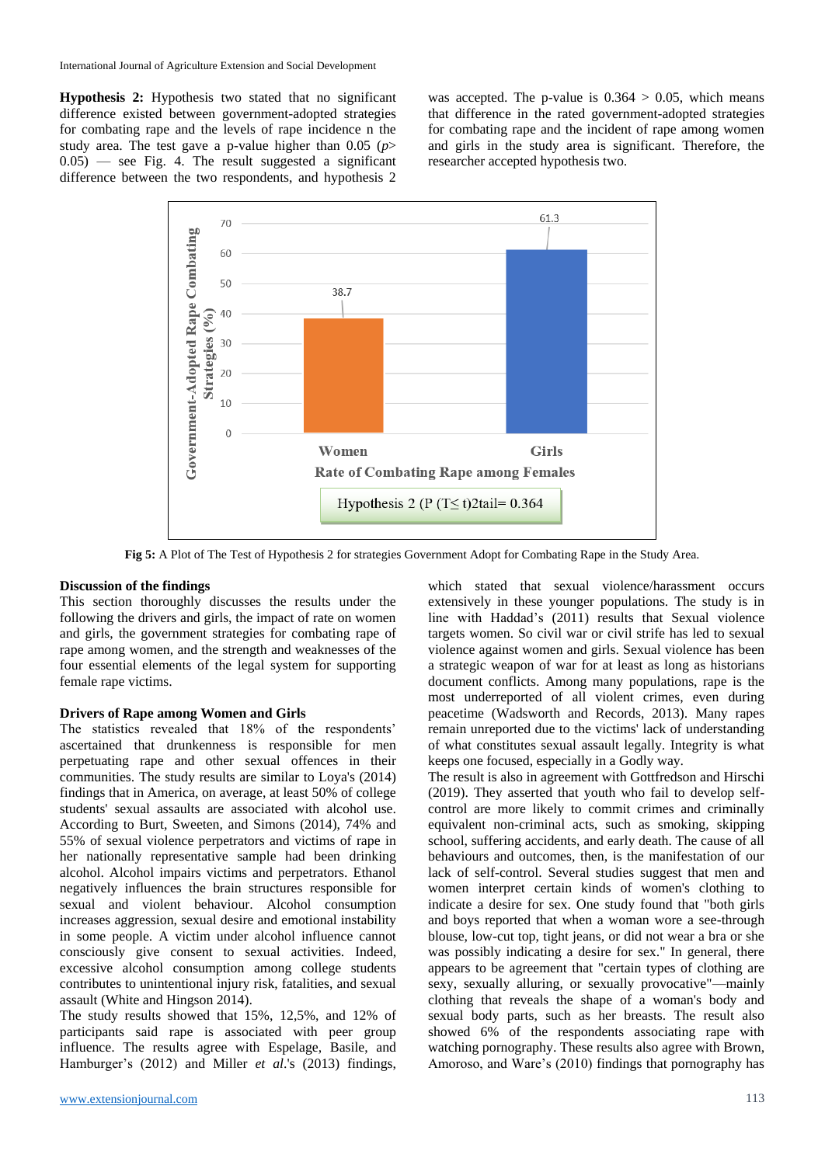**Hypothesis 2:** Hypothesis two stated that no significant difference existed between government-adopted strategies for combating rape and the levels of rape incidence n the study area. The test gave a p-value higher than  $0.05$  ( $p$ >  $(0.05)$  — see Fig. 4. The result suggested a significant difference between the two respondents, and hypothesis 2 was accepted. The p-value is  $0.364 > 0.05$ , which means that difference in the rated government-adopted strategies for combating rape and the incident of rape among women and girls in the study area is significant. Therefore, the researcher accepted hypothesis two.



**Fig 5:** A Plot of The Test of Hypothesis 2 for strategies Government Adopt for Combating Rape in the Study Area.

#### **Discussion of the findings**

This section thoroughly discusses the results under the following the drivers and girls, the impact of rate on women and girls, the government strategies for combating rape of rape among women, and the strength and weaknesses of the four essential elements of the legal system for supporting female rape victims.

#### **Drivers of Rape among Women and Girls**

The statistics revealed that 18% of the respondents' ascertained that drunkenness is responsible for men perpetuating rape and other sexual offences in their communities. The study results are similar to Loya's (2014) findings that in America, on average, at least 50% of college students' sexual assaults are associated with alcohol use. According to Burt, Sweeten, and Simons (2014), 74% and 55% of sexual violence perpetrators and victims of rape in her nationally representative sample had been drinking alcohol. Alcohol impairs victims and perpetrators. Ethanol negatively influences the brain structures responsible for sexual and violent behaviour. Alcohol consumption increases aggression, sexual desire and emotional instability in some people. A victim under alcohol influence cannot consciously give consent to sexual activities. Indeed, excessive alcohol consumption among college students contributes to unintentional injury risk, fatalities, and sexual assault (White and Hingson 2014).

The study results showed that 15%, 12,5%, and 12% of participants said rape is associated with peer group influence. The results agree with Espelage, Basile, and Hamburger's (2012) and Miller *et al*.'s (2013) findings,

which stated that sexual violence/harassment occurs extensively in these younger populations. The study is in line with Haddad's (2011) results that Sexual violence targets women. So civil war or civil strife has led to sexual violence against women and girls. Sexual violence has been a strategic weapon of war for at least as long as historians document conflicts. Among many populations, rape is the most underreported of all violent crimes, even during peacetime (Wadsworth and Records, 2013). Many rapes remain unreported due to the victims' lack of understanding of what constitutes sexual assault legally. Integrity is what keeps one focused, especially in a Godly way.

The result is also in agreement with Gottfredson and Hirschi (2019). They asserted that youth who fail to develop selfcontrol are more likely to commit crimes and criminally equivalent non-criminal acts, such as smoking, skipping school, suffering accidents, and early death. The cause of all behaviours and outcomes, then, is the manifestation of our lack of self-control. Several studies suggest that men and women interpret certain kinds of women's clothing to indicate a desire for sex. One study found that "both girls and boys reported that when a woman wore a see-through blouse, low-cut top, tight jeans, or did not wear a bra or she was possibly indicating a desire for sex." In general, there appears to be agreement that "certain types of clothing are sexy, sexually alluring, or sexually provocative"—mainly clothing that reveals the shape of a woman's body and sexual body parts, such as her breasts. The result also showed 6% of the respondents associating rape with watching pornography. These results also agree with Brown, Amoroso, and Ware's (2010) findings that pornography has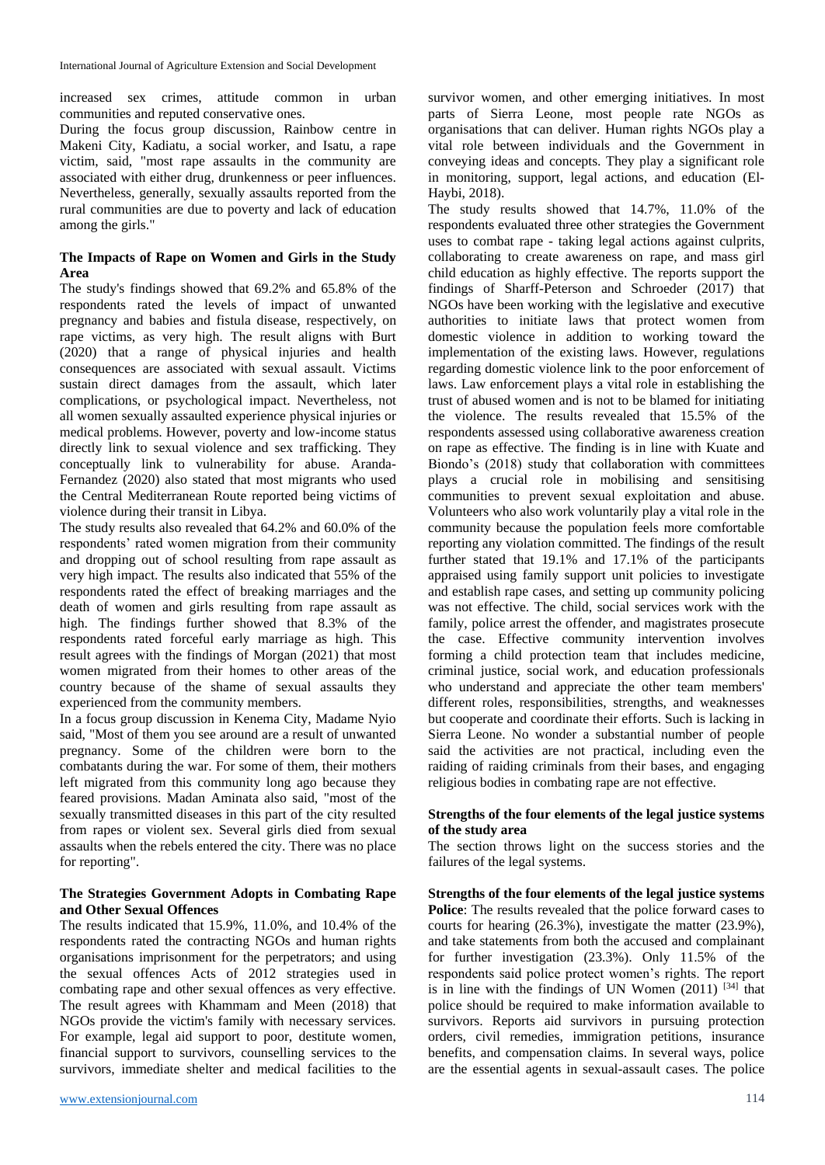increased sex crimes, attitude common in urban communities and reputed conservative ones.

During the focus group discussion, Rainbow centre in Makeni City, Kadiatu, a social worker, and Isatu, a rape victim, said, "most rape assaults in the community are associated with either drug, drunkenness or peer influences. Nevertheless, generally, sexually assaults reported from the rural communities are due to poverty and lack of education among the girls."

# **The Impacts of Rape on Women and Girls in the Study Area**

The study's findings showed that 69.2% and 65.8% of the respondents rated the levels of impact of unwanted pregnancy and babies and fistula disease, respectively, on rape victims, as very high. The result aligns with Burt (2020) that a range of physical injuries and health consequences are associated with sexual assault. Victims sustain direct damages from the assault, which later complications, or psychological impact. Nevertheless, not all women sexually assaulted experience physical injuries or medical problems. However, poverty and low-income status directly link to sexual violence and sex trafficking. They conceptually link to vulnerability for abuse. Aranda-Fernandez (2020) also stated that most migrants who used the Central Mediterranean Route reported being victims of violence during their transit in Libya.

The study results also revealed that 64.2% and 60.0% of the respondents' rated women migration from their community and dropping out of school resulting from rape assault as very high impact. The results also indicated that 55% of the respondents rated the effect of breaking marriages and the death of women and girls resulting from rape assault as high. The findings further showed that 8.3% of the respondents rated forceful early marriage as high. This result agrees with the findings of Morgan (2021) that most women migrated from their homes to other areas of the country because of the shame of sexual assaults they experienced from the community members.

In a focus group discussion in Kenema City, Madame Nyio said, "Most of them you see around are a result of unwanted pregnancy. Some of the children were born to the combatants during the war. For some of them, their mothers left migrated from this community long ago because they feared provisions. Madan Aminata also said, "most of the sexually transmitted diseases in this part of the city resulted from rapes or violent sex. Several girls died from sexual assaults when the rebels entered the city. There was no place for reporting".

# **The Strategies Government Adopts in Combating Rape and Other Sexual Offences**

The results indicated that 15.9%, 11.0%, and 10.4% of the respondents rated the contracting NGOs and human rights organisations imprisonment for the perpetrators; and using the sexual offences Acts of 2012 strategies used in combating rape and other sexual offences as very effective. The result agrees with Khammam and Meen (2018) that NGOs provide the victim's family with necessary services. For example, legal aid support to poor, destitute women, financial support to survivors, counselling services to the survivors, immediate shelter and medical facilities to the

survivor women, and other emerging initiatives. In most parts of Sierra Leone, most people rate NGOs as organisations that can deliver. Human rights NGOs play a vital role between individuals and the Government in conveying ideas and concepts. They play a significant role in monitoring, support, legal actions, and education (El-Haybi, 2018).

The study results showed that 14.7%, 11.0% of the respondents evaluated three other strategies the Government uses to combat rape - taking legal actions against culprits, collaborating to create awareness on rape, and mass girl child education as highly effective. The reports support the findings of Sharff-Peterson and Schroeder (2017) that NGOs have been working with the legislative and executive authorities to initiate laws that protect women from domestic violence in addition to working toward the implementation of the existing laws. However, regulations regarding domestic violence link to the poor enforcement of laws. Law enforcement plays a vital role in establishing the trust of abused women and is not to be blamed for initiating the violence. The results revealed that 15.5% of the respondents assessed using collaborative awareness creation on rape as effective. The finding is in line with Kuate and Biondo's (2018) study that collaboration with committees plays a crucial role in mobilising and sensitising communities to prevent sexual exploitation and abuse. Volunteers who also work voluntarily play a vital role in the community because the population feels more comfortable reporting any violation committed. The findings of the result further stated that 19.1% and 17.1% of the participants appraised using family support unit policies to investigate and establish rape cases, and setting up community policing was not effective. The child, social services work with the family, police arrest the offender, and magistrates prosecute the case. Effective community intervention involves forming a child protection team that includes medicine, criminal justice, social work, and education professionals who understand and appreciate the other team members' different roles, responsibilities, strengths, and weaknesses but cooperate and coordinate their efforts. Such is lacking in Sierra Leone. No wonder a substantial number of people said the activities are not practical, including even the raiding of raiding criminals from their bases, and engaging religious bodies in combating rape are not effective.

### **Strengths of the four elements of the legal justice systems of the study area**

The section throws light on the success stories and the failures of the legal systems.

**Strengths of the four elements of the legal justice systems Police**: The results revealed that the police forward cases to courts for hearing (26.3%), investigate the matter (23.9%), and take statements from both the accused and complainant for further investigation (23.3%). Only 11.5% of the respondents said police protect women's rights. The report is in line with the findings of UN Women  $(2011)$  [34] that police should be required to make information available to survivors. Reports aid survivors in pursuing protection orders, civil remedies, immigration petitions, insurance benefits, and compensation claims. In several ways, police are the essential agents in sexual-assault cases. The police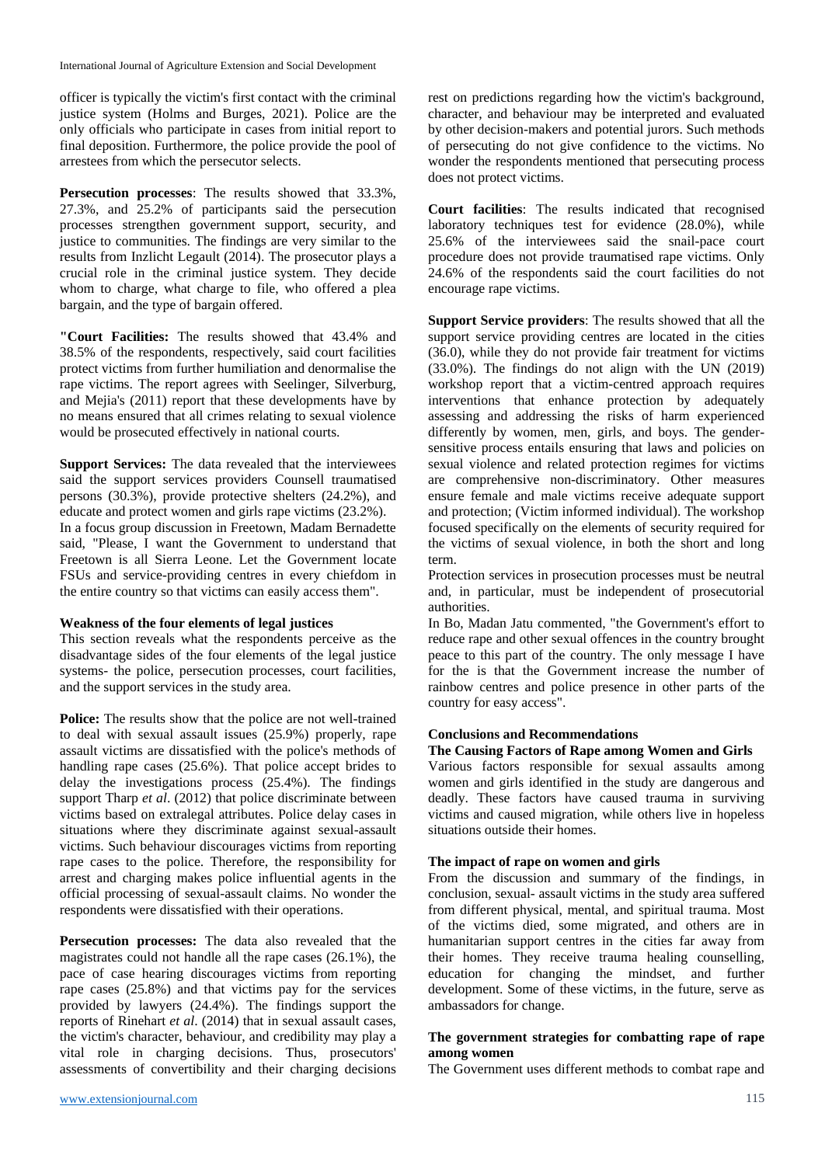officer is typically the victim's first contact with the criminal justice system (Holms and Burges, 2021). Police are the only officials who participate in cases from initial report to final deposition. Furthermore, the police provide the pool of arrestees from which the persecutor selects.

**Persecution processes**: The results showed that 33.3%, 27.3%, and 25.2% of participants said the persecution processes strengthen government support, security, and justice to communities. The findings are very similar to the results from Inzlicht Legault (2014). The prosecutor plays a crucial role in the criminal justice system. They decide whom to charge, what charge to file, who offered a plea bargain, and the type of bargain offered.

**"Court Facilities:** The results showed that 43.4% and 38.5% of the respondents, respectively, said court facilities protect victims from further humiliation and denormalise the rape victims. The report agrees with Seelinger, Silverburg, and Mejia's (2011) report that these developments have by no means ensured that all crimes relating to sexual violence would be prosecuted effectively in national courts.

**Support Services:** The data revealed that the interviewees said the support services providers Counsell traumatised persons (30.3%), provide protective shelters (24.2%), and educate and protect women and girls rape victims (23.2%). In a focus group discussion in Freetown, Madam Bernadette said, "Please, I want the Government to understand that Freetown is all Sierra Leone. Let the Government locate FSUs and service-providing centres in every chiefdom in the entire country so that victims can easily access them".

#### **Weakness of the four elements of legal justices**

This section reveals what the respondents perceive as the disadvantage sides of the four elements of the legal justice systems- the police, persecution processes, court facilities, and the support services in the study area.

**Police:** The results show that the police are not well-trained to deal with sexual assault issues (25.9%) properly, rape assault victims are dissatisfied with the police's methods of handling rape cases (25.6%). That police accept brides to delay the investigations process (25.4%). The findings support Tharp *et al.* (2012) that police discriminate between victims based on extralegal attributes. Police delay cases in situations where they discriminate against sexual-assault victims. Such behaviour discourages victims from reporting rape cases to the police. Therefore, the responsibility for arrest and charging makes police influential agents in the official processing of sexual-assault claims. No wonder the respondents were dissatisfied with their operations.

**Persecution processes:** The data also revealed that the magistrates could not handle all the rape cases (26.1%), the pace of case hearing discourages victims from reporting rape cases (25.8%) and that victims pay for the services provided by lawyers (24.4%). The findings support the reports of Rinehart *et al*. (2014) that in sexual assault cases, the victim's character, behaviour, and credibility may play a vital role in charging decisions. Thus, prosecutors' assessments of convertibility and their charging decisions rest on predictions regarding how the victim's background, character, and behaviour may be interpreted and evaluated by other decision-makers and potential jurors. Such methods of persecuting do not give confidence to the victims. No wonder the respondents mentioned that persecuting process does not protect victims.

**Court facilities**: The results indicated that recognised laboratory techniques test for evidence (28.0%), while 25.6% of the interviewees said the snail-pace court procedure does not provide traumatised rape victims. Only 24.6% of the respondents said the court facilities do not encourage rape victims.

**Support Service providers**: The results showed that all the support service providing centres are located in the cities (36.0), while they do not provide fair treatment for victims (33.0%). The findings do not align with the UN (2019) workshop report that a victim-centred approach requires interventions that enhance protection by adequately assessing and addressing the risks of harm experienced differently by women, men, girls, and boys. The gendersensitive process entails ensuring that laws and policies on sexual violence and related protection regimes for victims are comprehensive non-discriminatory. Other measures ensure female and male victims receive adequate support and protection; (Victim informed individual). The workshop focused specifically on the elements of security required for the victims of sexual violence, in both the short and long term.

Protection services in prosecution processes must be neutral and, in particular, must be independent of prosecutorial authorities.

In Bo, Madan Jatu commented, "the Government's effort to reduce rape and other sexual offences in the country brought peace to this part of the country. The only message I have for the is that the Government increase the number of rainbow centres and police presence in other parts of the country for easy access".

#### **Conclusions and Recommendations**

**The Causing Factors of Rape among Women and Girls**

Various factors responsible for sexual assaults among women and girls identified in the study are dangerous and deadly. These factors have caused trauma in surviving victims and caused migration, while others live in hopeless situations outside their homes.

#### **The impact of rape on women and girls**

From the discussion and summary of the findings, in conclusion, sexual- assault victims in the study area suffered from different physical, mental, and spiritual trauma. Most of the victims died, some migrated, and others are in humanitarian support centres in the cities far away from their homes. They receive trauma healing counselling, education for changing the mindset, and further development. Some of these victims, in the future, serve as ambassadors for change.

### **The government strategies for combatting rape of rape among women**

The Government uses different methods to combat rape and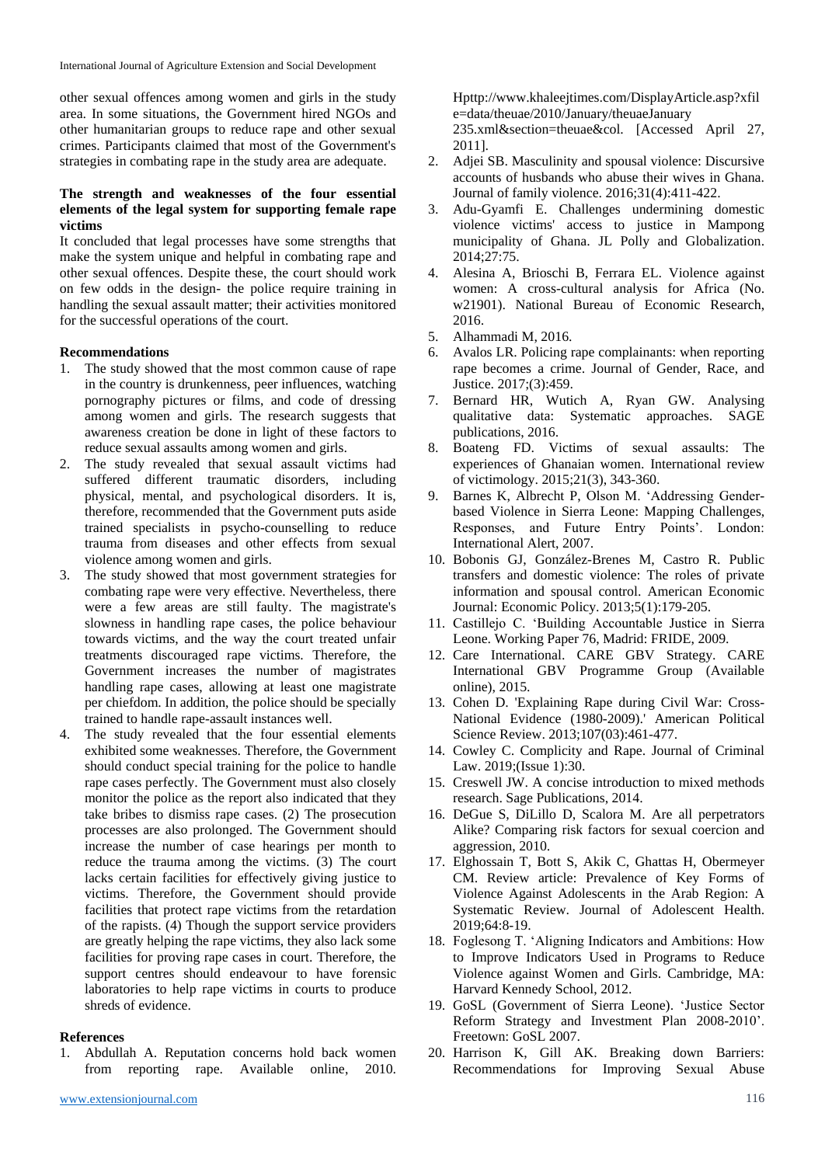other sexual offences among women and girls in the study area. In some situations, the Government hired NGOs and other humanitarian groups to reduce rape and other sexual crimes. Participants claimed that most of the Government's strategies in combating rape in the study area are adequate.

#### **The strength and weaknesses of the four essential elements of the legal system for supporting female rape victims**

It concluded that legal processes have some strengths that make the system unique and helpful in combating rape and other sexual offences. Despite these, the court should work on few odds in the design- the police require training in handling the sexual assault matter; their activities monitored for the successful operations of the court.

#### **Recommendations**

- 1. The study showed that the most common cause of rape in the country is drunkenness, peer influences, watching pornography pictures or films, and code of dressing among women and girls. The research suggests that awareness creation be done in light of these factors to reduce sexual assaults among women and girls.
- 2. The study revealed that sexual assault victims had suffered different traumatic disorders, including physical, mental, and psychological disorders. It is, therefore, recommended that the Government puts aside trained specialists in psycho-counselling to reduce trauma from diseases and other effects from sexual violence among women and girls.
- 3. The study showed that most government strategies for combating rape were very effective. Nevertheless, there were a few areas are still faulty. The magistrate's slowness in handling rape cases, the police behaviour towards victims, and the way the court treated unfair treatments discouraged rape victims. Therefore, the Government increases the number of magistrates handling rape cases, allowing at least one magistrate per chiefdom. In addition, the police should be specially trained to handle rape-assault instances well.
- 4. The study revealed that the four essential elements exhibited some weaknesses. Therefore, the Government should conduct special training for the police to handle rape cases perfectly. The Government must also closely monitor the police as the report also indicated that they take bribes to dismiss rape cases. (2) The prosecution processes are also prolonged. The Government should increase the number of case hearings per month to reduce the trauma among the victims. (3) The court lacks certain facilities for effectively giving justice to victims. Therefore, the Government should provide facilities that protect rape victims from the retardation of the rapists. (4) Though the support service providers are greatly helping the rape victims, they also lack some facilities for proving rape cases in court. Therefore, the support centres should endeavour to have forensic laboratories to help rape victims in courts to produce shreds of evidence.

### **References**

1. Abdullah A. Reputation concerns hold back women from reporting rape. Available online, 2010.

Hpttp://www.khaleejtimes.com/DisplayArticle.asp?xfil e=data/theuae/2010/January/theuaeJanuary 235.xml&section=theuae&col. [Accessed April 27, 2011].

- 2. Adjei SB. Masculinity and spousal violence: Discursive accounts of husbands who abuse their wives in Ghana. Journal of family violence. 2016;31(4):411-422.
- 3. Adu-Gyamfi E. Challenges undermining domestic violence victims' access to justice in Mampong municipality of Ghana. JL Polly and Globalization. 2014;27:75.
- 4. Alesina A, Brioschi B, Ferrara EL. Violence against women: A cross-cultural analysis for Africa (No. w21901). National Bureau of Economic Research, 2016.
- 5. Alhammadi M, 2016.
- 6. Avalos LR. Policing rape complainants: when reporting rape becomes a crime. Journal of Gender, Race, and Justice. 2017;(3):459.
- 7. Bernard HR, Wutich A, Ryan GW. Analysing qualitative data: Systematic approaches. SAGE publications, 2016.
- 8. Boateng FD. Victims of sexual assaults: The experiences of Ghanaian women. International review of victimology. 2015;21(3), 343-360.
- 9. Barnes K, Albrecht P, Olson M. 'Addressing Genderbased Violence in Sierra Leone: Mapping Challenges, Responses, and Future Entry Points'. London: International Alert, 2007.
- 10. Bobonis GJ, González-Brenes M, Castro R. Public transfers and domestic violence: The roles of private information and spousal control. American Economic Journal: Economic Policy. 2013;5(1):179-205.
- 11. Castillejo C. 'Building Accountable Justice in Sierra Leone. Working Paper 76, Madrid: FRIDE, 2009.
- 12. Care International. CARE GBV Strategy. CARE International GBV Programme Group (Available online), 2015.
- 13. Cohen D. 'Explaining Rape during Civil War: Cross-National Evidence (1980-2009).' American Political Science Review. 2013;107(03):461-477.
- 14. Cowley C. Complicity and Rape. Journal of Criminal Law. 2019;(Issue 1):30.
- 15. Creswell JW. A concise introduction to mixed methods research. Sage Publications, 2014.
- 16. DeGue S, DiLillo D, Scalora M. Are all perpetrators Alike? Comparing risk factors for sexual coercion and aggression, 2010.
- 17. Elghossain T, Bott S, Akik C, Ghattas H, Obermeyer CM. Review article: Prevalence of Key Forms of Violence Against Adolescents in the Arab Region: A Systematic Review. Journal of Adolescent Health. 2019;64:8-19.
- 18. Foglesong T. 'Aligning Indicators and Ambitions: How to Improve Indicators Used in Programs to Reduce Violence against Women and Girls. Cambridge, MA: Harvard Kennedy School, 2012.
- 19. GoSL (Government of Sierra Leone). 'Justice Sector Reform Strategy and Investment Plan 2008-2010'. Freetown: GoSL 2007.
- 20. Harrison K, Gill AK. Breaking down Barriers: Recommendations for Improving Sexual Abuse